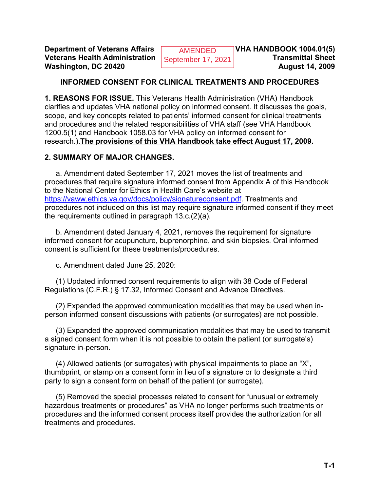**Department of Veterans Affairs ALGO AMENDED VHA HANDBOOK 1004.01(5) Veterans Health Administration Contember 17, 2021 Transmittal Sheet Washington, DC 20420 August 14, 2009** 

AMENDED September 17, 2021

## **INFORMED CONSENT FOR CLINICAL TREATMENTS AND PROCEDURES**

**1. REASONS FOR ISSUE.** This Veterans Health Administration (VHA) Handbook clarifies and updates VHA national policy on informed consent. It discusses the goals, scope, and key concepts related to patients' informed consent for clinical treatments and procedures and the related responsibilities of VHA staff (see VHA Handbook 1200.5(1) and Handbook 1058.03 for VHA policy on informed consent for research.).**The provisions of this VHA Handbook take effect August 17, 2009.**

#### **2. SUMMARY OF MAJOR CHANGES.**

a. Amendment dated September 17, 2021 moves the list of treatments and procedures that require signature informed consent from Appendix A of this Handbook to the National Center for Ethics in Health Care's website at [https://vaww.ethics.va.gov/docs/policy/signatureconsent.pdf.](https://vaww.ethics.va.gov/docs/policy/signatureconsent.pdf) Treatments and procedures not included on this list may require signature informed consent if they meet the requirements outlined in paragraph 13.c.(2)(a).

b. Amendment dated January 4, 2021, removes the requirement for signature informed consent for acupuncture, buprenorphine, and skin biopsies. Oral informed consent is sufficient for these treatments/procedures.

c. Amendment dated June 25, 2020:

(1) Updated informed consent requirements to align with 38 Code of Federal Regulations (C.F.R.) § 17.32, Informed Consent and Advance Directives.

(2) Expanded the approved communication modalities that may be used when inperson informed consent discussions with patients (or surrogates) are not possible.

(3) Expanded the approved communication modalities that may be used to transmit a signed consent form when it is not possible to obtain the patient (or surrogate's) signature in-person.

(4) Allowed patients (or surrogates) with physical impairments to place an "X", thumbprint, or stamp on a consent form in lieu of a signature or to designate a third party to sign a consent form on behalf of the patient (or surrogate).

(5) Removed the special processes related to consent for "unusual or extremely hazardous treatments or procedures" as VHA no longer performs such treatments or procedures and the informed consent process itself provides the authorization for all treatments and procedures.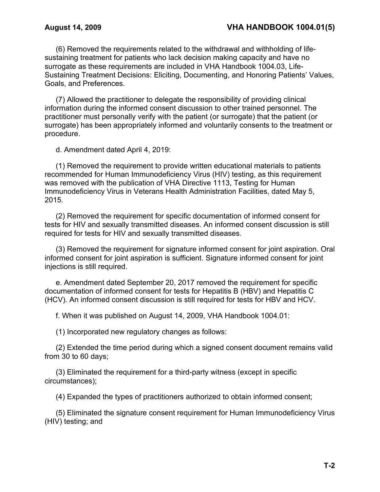(6) Removed the requirements related to the withdrawal and withholding of lifesustaining treatment for patients who lack decision making capacity and have no surrogate as these requirements are included in VHA Handbook 1004.03, Life-Sustaining Treatment Decisions: Eliciting, Documenting, and Honoring Patients' Values, Goals, and Preferences.

(7) Allowed the practitioner to delegate the responsibility of providing clinical information during the informed consent discussion to other trained personnel. The practitioner must personally verify with the patient (or surrogate) that the patient (or surrogate) has been appropriately informed and voluntarily consents to the treatment or procedure.

d. Amendment dated April 4, 2019:

(1) Removed the requirement to provide written educational materials to patients recommended for Human Immunodeficiency Virus (HIV) testing, as this requirement was removed with the publication of VHA Directive 1113, Testing for Human Immunodeficiency Virus in Veterans Health Administration Facilities, dated May 5, 2015.

(2) Removed the requirement for specific documentation of informed consent for tests for HIV and sexually transmitted diseases. An informed consent discussion is still required for tests for HIV and sexually transmitted diseases.

(3) Removed the requirement for signature informed consent for joint aspiration. Oral informed consent for joint aspiration is sufficient. Signature informed consent for joint injections is still required.

e. Amendment dated September 20, 2017 removed the requirement for specific documentation of informed consent for tests for Hepatitis B (HBV) and Hepatitis C (HCV). An informed consent discussion is still required for tests for HBV and HCV.

f. When it was published on August 14, 2009, VHA Handbook 1004.01:

(1) Incorporated new regulatory changes as follows:

(2) Extended the time period during which a signed consent document remains valid from 30 to 60 days;

(3) Eliminated the requirement for a third-party witness (except in specific circumstances);

(4) Expanded the types of practitioners authorized to obtain informed consent;

(5) Eliminated the signature consent requirement for Human Immunodeficiency Virus (HIV) testing; and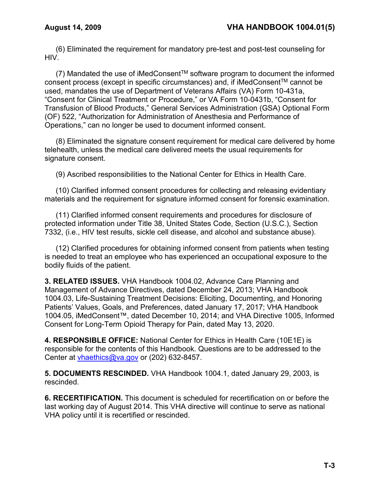(6) Eliminated the requirement for mandatory pre-test and post-test counseling for HIV.

(7) Mandated the use of iMedConsent<sup>TM</sup> software program to document the informed consent process (except in specific circumstances) and, if iMedConsentTM cannot be used, mandates the use of Department of Veterans Affairs (VA) Form 10-431a, "Consent for Clinical Treatment or Procedure," or VA Form 10-0431b, "Consent for Transfusion of Blood Products," General Services Administration (GSA) Optional Form (OF) 522, "Authorization for Administration of Anesthesia and Performance of Operations," can no longer be used to document informed consent.

(8) Eliminated the signature consent requirement for medical care delivered by home telehealth, unless the medical care delivered meets the usual requirements for signature consent.

(9) Ascribed responsibilities to the National Center for Ethics in Health Care.

(10) Clarified informed consent procedures for collecting and releasing evidentiary materials and the requirement for signature informed consent for forensic examination.

(11) Clarified informed consent requirements and procedures for disclosure of protected information under Title 38, United States Code, Section (U.S.C.), Section 7332, (i.e., HIV test results, sickle cell disease, and alcohol and substance abuse).

(12) Clarified procedures for obtaining informed consent from patients when testing is needed to treat an employee who has experienced an occupational exposure to the bodily fluids of the patient.

**3. RELATED ISSUES.** VHA Handbook 1004.02, Advance Care Planning and Management of Advance Directives, dated December 24, 2013; VHA Handbook 1004.03, Life-Sustaining Treatment Decisions: Eliciting, Documenting, and Honoring Patients' Values, Goals, and Preferences, dated January 17, 2017; VHA Handbook 1004.05, iMedConsent™, dated December 10, 2014; and VHA Directive 1005, Informed Consent for Long-Term Opioid Therapy for Pain, dated May 13, 2020.

**4. RESPONSIBLE OFFICE:** National Center for Ethics in Health Care (10E1E) is responsible for the contents of this Handbook. Questions are to be addressed to the Center at [vhaethics@va.gov](mailto:vhaethics@va.gov) or (202) 632-8457.

**5. DOCUMENTS RESCINDED.** VHA Handbook 1004.1, dated January 29, 2003, is rescinded.

**6. RECERTIFICATION.** This document is scheduled for recertification on or before the last working day of August 2014. This VHA directive will continue to serve as national VHA policy until it is recertified or rescinded.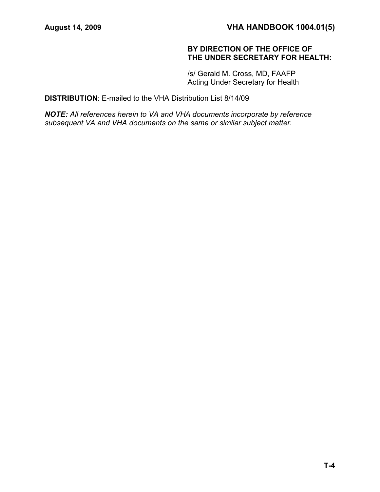## **BY DIRECTION OF THE OFFICE OF THE UNDER SECRETARY FOR HEALTH:**

/s/ Gerald M. Cross, MD, FAAFP Acting Under Secretary for Health

**DISTRIBUTION**: E-mailed to the VHA Distribution List 8/14/09

*NOTE: All references herein to VA and VHA documents incorporate by reference subsequent VA and VHA documents on the same or similar subject matter.*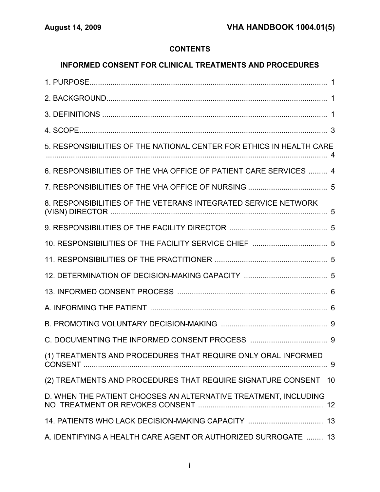# **CONTENTS**

# **INFORMED CONSENT FOR CLINICAL TREATMENTS AND PROCEDURES**

| 5. RESPONSIBILITIES OF THE NATIONAL CENTER FOR ETHICS IN HEALTH CARE |
|----------------------------------------------------------------------|
| 6. RESPONSIBILITIES OF THE VHA OFFICE OF PATIENT CARE SERVICES  4    |
|                                                                      |
| 8. RESPONSIBILITIES OF THE VETERANS INTEGRATED SERVICE NETWORK       |
|                                                                      |
|                                                                      |
|                                                                      |
|                                                                      |
|                                                                      |
|                                                                      |
|                                                                      |
|                                                                      |
| (1) TREATMENTS AND PROCEDURES THAT REQUIRE ONLY ORAL INFORMED        |
| (2) TREATMENTS AND PROCEDURES THAT REQUIRE SIGNATURE CONSENT<br>10   |
| D. WHEN THE PATIENT CHOOSES AN ALTERNATIVE TREATMENT, INCLUDING      |
|                                                                      |
| A. IDENTIFYING A HEALTH CARE AGENT OR AUTHORIZED SURROGATE  13       |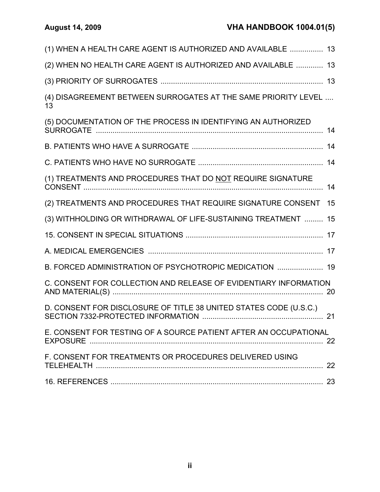| (1) WHEN A HEALTH CARE AGENT IS AUTHORIZED AND AVAILABLE  13         |    |
|----------------------------------------------------------------------|----|
| (2) WHEN NO HEALTH CARE AGENT IS AUTHORIZED AND AVAILABLE  13        |    |
|                                                                      |    |
| (4) DISAGREEMENT BETWEEN SURROGATES AT THE SAME PRIORITY LEVEL<br>13 |    |
| (5) DOCUMENTATION OF THE PROCESS IN IDENTIFYING AN AUTHORIZED        |    |
|                                                                      |    |
|                                                                      |    |
| (1) TREATMENTS AND PROCEDURES THAT DO NOT REQUIRE SIGNATURE          | 14 |
| (2) TREATMENTS AND PROCEDURES THAT REQUIRE SIGNATURE CONSENT         | 15 |
| (3) WITHHOLDING OR WITHDRAWAL OF LIFE-SUSTAINING TREATMENT  15       |    |
|                                                                      |    |
|                                                                      |    |
| B. FORCED ADMINISTRATION OF PSYCHOTROPIC MEDICATION  19              |    |
| C. CONSENT FOR COLLECTION AND RELEASE OF EVIDENTIARY INFORMATION     |    |
| D. CONSENT FOR DISCLOSURE OF TITLE 38 UNITED STATES CODE (U.S.C.)    |    |
| E. CONSENT FOR TESTING OF A SOURCE PATIENT AFTER AN OCCUPATIONAL     |    |
| F. CONSENT FOR TREATMENTS OR PROCEDURES DELIVERED USING              |    |
|                                                                      |    |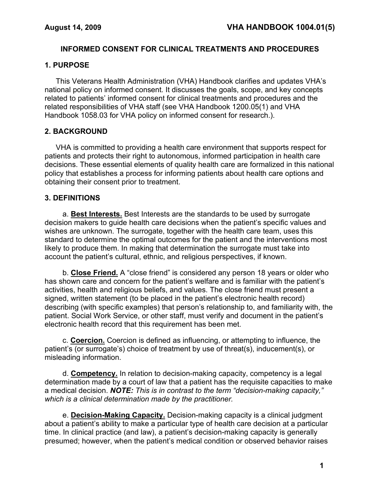## **INFORMED CONSENT FOR CLINICAL TREATMENTS AND PROCEDURES**

## **1. PURPOSE**

This Veterans Health Administration (VHA) Handbook clarifies and updates VHA's national policy on informed consent. It discusses the goals, scope, and key concepts related to patients' informed consent for clinical treatments and procedures and the related responsibilities of VHA staff (see VHA Handbook 1200.05(1) and VHA Handbook 1058.03 for VHA policy on informed consent for research.).

## **2. BACKGROUND**

VHA is committed to providing a health care environment that supports respect for patients and protects their right to autonomous, informed participation in health care decisions. These essential elements of quality health care are formalized in this national policy that establishes a process for informing patients about health care options and obtaining their consent prior to treatment.

## **3. DEFINITIONS**

a. **Best Interests.** Best Interests are the standards to be used by surrogate decision makers to guide health care decisions when the patient's specific values and wishes are unknown. The surrogate, together with the health care team, uses this standard to determine the optimal outcomes for the patient and the interventions most likely to produce them. In making that determination the surrogate must take into account the patient's cultural, ethnic, and religious perspectives, if known.

b. **Close Friend.** A "close friend" is considered any person 18 years or older who has shown care and concern for the patient's welfare and is familiar with the patient's activities, health and religious beliefs, and values. The close friend must present a signed, written statement (to be placed in the patient's electronic health record) describing (with specific examples) that person's relationship to, and familiarity with, the patient. Social Work Service, or other staff, must verify and document in the patient's electronic health record that this requirement has been met.

c. **Coercion.** Coercion is defined as influencing, or attempting to influence, the patient's (or surrogate's) choice of treatment by use of threat(s), inducement(s), or misleading information.

d. **Competency.** In relation to decision-making capacity, competency is a legal determination made by a court of law that a patient has the requisite capacities to make a medical decision. *NOTE: This is in contrast to the term "decision-making capacity," which is a clinical determination made by the practitioner.*

e. **Decision-Making Capacity.** Decision-making capacity is a clinical judgment about a patient's ability to make a particular type of health care decision at a particular time. In clinical practice (and law), a patient's decision-making capacity is generally presumed; however, when the patient's medical condition or observed behavior raises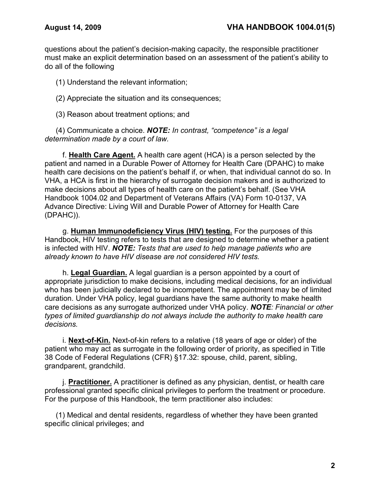questions about the patient's decision-making capacity, the responsible practitioner must make an explicit determination based on an assessment of the patient's ability to do all of the following

(1) Understand the relevant information;

(2) Appreciate the situation and its consequences;

(3) Reason about treatment options; and

(4) Communicate a choice. *NOTE: In contrast, "competence" is a legal determination made by a court of law.*

f. **Health Care Agent.** A health care agent (HCA) is a person selected by the patient and named in a Durable Power of Attorney for Health Care (DPAHC) to make health care decisions on the patient's behalf if, or when, that individual cannot do so. In VHA, a HCA is first in the hierarchy of surrogate decision makers and is authorized to make decisions about all types of health care on the patient's behalf. (See VHA Handbook 1004.02 and Department of Veterans Affairs (VA) Form 10-0137, VA Advance Directive: Living Will and Durable Power of Attorney for Health Care (DPAHC)).

g. **Human Immunodeficiency Virus (HIV) testing.** For the purposes of this Handbook, HIV testing refers to tests that are designed to determine whether a patient is infected with HIV. *NOTE: Tests that are used to help manage patients who are already known to have HIV disease are not considered HIV tests.*

h. **Legal Guardian.** A legal guardian is a person appointed by a court of appropriate jurisdiction to make decisions, including medical decisions, for an individual who has been judicially declared to be incompetent. The appointment may be of limited duration. Under VHA policy, legal guardians have the same authority to make health care decisions as any surrogate authorized under VHA policy. *NOTE: Financial or other types of limited guardianship do not always include the authority to make health care decisions.* 

i. **Next-of-Kin.** Next-of-kin refers to a relative (18 years of age or older) of the patient who may act as surrogate in the following order of priority, as specified in Title 38 Code of Federal Regulations (CFR) §17.32: spouse, child, parent, sibling, grandparent, grandchild.

j. **Practitioner.** A practitioner is defined as any physician, dentist, or health care professional granted specific clinical privileges to perform the treatment or procedure. For the purpose of this Handbook, the term practitioner also includes:

(1) Medical and dental residents, regardless of whether they have been granted specific clinical privileges; and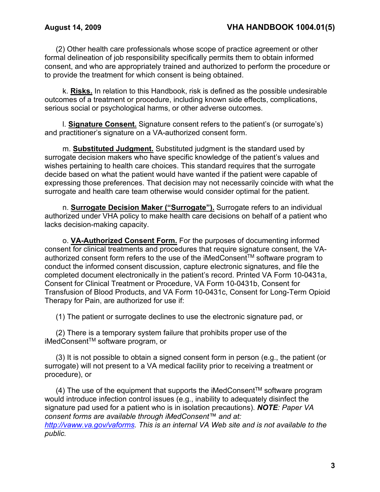(2) Other health care professionals whose scope of practice agreement or other formal delineation of job responsibility specifically permits them to obtain informed consent, and who are appropriately trained and authorized to perform the procedure or to provide the treatment for which consent is being obtained.

k. **Risks.** In relation to this Handbook, risk is defined as the possible undesirable outcomes of a treatment or procedure, including known side effects, complications, serious social or psychological harms, or other adverse outcomes.

l. **Signature Consent.** Signature consent refers to the patient's (or surrogate's) and practitioner's signature on a VA-authorized consent form.

m. **Substituted Judgment.** Substituted judgment is the standard used by surrogate decision makers who have specific knowledge of the patient's values and wishes pertaining to health care choices. This standard requires that the surrogate decide based on what the patient would have wanted if the patient were capable of expressing those preferences. That decision may not necessarily coincide with what the surrogate and health care team otherwise would consider optimal for the patient.

n. **Surrogate Decision Maker ("Surrogate").** Surrogate refers to an individual authorized under VHA policy to make health care decisions on behalf of a patient who lacks decision-making capacity.

o. **VA-Authorized Consent Form.** For the purposes of documenting informed consent for clinical treatments and procedures that require signature consent, the VAauthorized consent form refers to the use of the iMedConsent™ software program to conduct the informed consent discussion, capture electronic signatures, and file the completed document electronically in the patient's record. Printed VA Form 10-0431a, Consent for Clinical Treatment or Procedure, VA Form 10-0431b, Consent for Transfusion of Blood Products, and VA Form 10-0431c, Consent for Long-Term Opioid Therapy for Pain, are authorized for use if:

(1) The patient or surrogate declines to use the electronic signature pad, or

(2) There is a temporary system failure that prohibits proper use of the iMedConsentTM software program, or

(3) It is not possible to obtain a signed consent form in person (e.g., the patient (or surrogate) will not present to a VA medical facility prior to receiving a treatment or procedure), or

 $(4)$  The use of the equipment that supports the iMedConsent<sup>TM</sup> software program would introduce infection control issues (e.g., inability to adequately disinfect the signature pad used for a patient who is in isolation precautions). *NOTE: Paper VA consent forms are available through iMedConsent™ and at:* 

*[http://vaww.va.gov/vaforms.](http://vaww.va.gov/vaforms) This is an internal VA Web site and is not available to the public.*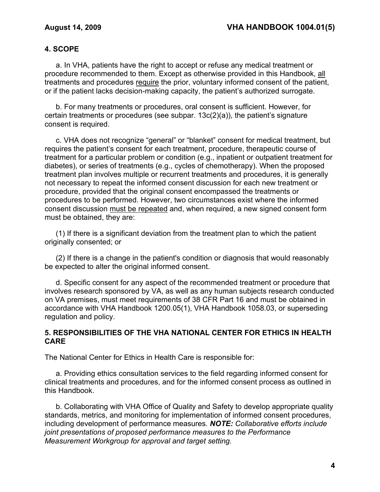## **4. SCOPE**

a. In VHA, patients have the right to accept or refuse any medical treatment or procedure recommended to them. Except as otherwise provided in this Handbook, all treatments and procedures require the prior, voluntary informed consent of the patient, or if the patient lacks decision-making capacity, the patient's authorized surrogate.

b. For many treatments or procedures, oral consent is sufficient. However, for certain treatments or procedures (see subpar. 13c(2)(a)), the patient's signature consent is required.

c. VHA does not recognize "general" or "blanket" consent for medical treatment, but requires the patient's consent for each treatment, procedure, therapeutic course of treatment for a particular problem or condition (e.g., inpatient or outpatient treatment for diabetes), or series of treatments (e.g., cycles of chemotherapy). When the proposed treatment plan involves multiple or recurrent treatments and procedures, it is generally not necessary to repeat the informed consent discussion for each new treatment or procedure, provided that the original consent encompassed the treatments or procedures to be performed. However, two circumstances exist where the informed consent discussion must be repeated and, when required, a new signed consent form must be obtained, they are:

(1) If there is a significant deviation from the treatment plan to which the patient originally consented; or

(2) If there is a change in the patient's condition or diagnosis that would reasonably be expected to alter the original informed consent.

d. Specific consent for any aspect of the recommended treatment or procedure that involves research sponsored by VA, as well as any human subjects research conducted on VA premises, must meet requirements of 38 CFR Part 16 and must be obtained in accordance with VHA Handbook 1200.05(1), VHA Handbook 1058.03, or superseding regulation and policy.

## **5. RESPONSIBILITIES OF THE VHA NATIONAL CENTER FOR ETHICS IN HEALTH CARE**

The National Center for Ethics in Health Care is responsible for:

a. Providing ethics consultation services to the field regarding informed consent for clinical treatments and procedures, and for the informed consent process as outlined in this Handbook.

b. Collaborating with VHA Office of Quality and Safety to develop appropriate quality standards, metrics, and monitoring for implementation of informed consent procedures, including development of performance measures. *NOTE: Collaborative efforts include joint presentations of proposed performance measures to the Performance Measurement Workgroup for approval and target setting.*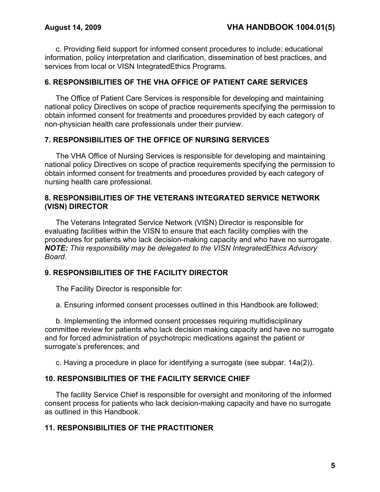c. Providing field support for informed consent procedures to include: educational information, policy interpretation and clarification, dissemination of best practices, and services from local or VISN IntegratedEthics Programs.

## **6. RESPONSIBILITIES OF THE VHA OFFICE OF PATIENT CARE SERVICES**

The Office of Patient Care Services is responsible for developing and maintaining national policy Directives on scope of practice requirements specifying the permission to obtain informed consent for treatments and procedures provided by each category of non-physician health care professionals under their purview.

## **7. RESPONSIBILITIES OF THE OFFICE OF NURSING SERVICES**

The VHA Office of Nursing Services is responsible for developing and maintaining national policy Directives on scope of practice requirements specifying the permission to obtain informed consent for treatments and procedures provided by each category of nursing health care professional.

## **8. RESPONSIBILITIES OF THE VETERANS INTEGRATED SERVICE NETWORK (VISN) DIRECTOR**

The Veterans Integrated Service Network (VISN) Director is responsible for evaluating facilities within the VISN to ensure that each facility complies with the procedures for patients who lack decision-making capacity and who have no surrogate. *NOTE: This responsibility may be delegated to the VISN IntegratedEthics Advisory Board.*

## **9. RESPONSIBILITIES OF THE FACILITY DIRECTOR**

The Facility Director is responsible for:

a. Ensuring informed consent processes outlined in this Handbook are followed;

b. Implementing the informed consent processes requiring multidisciplinary committee review for patients who lack decision making capacity and have no surrogate and for forced administration of psychotropic medications against the patient or surrogate's preferences; and

c. Having a procedure in place for identifying a surrogate (see subpar. 14a(2)).

#### **10. RESPONSIBILITIES OF THE FACILITY SERVICE CHIEF**

The facility Service Chief is responsible for oversight and monitoring of the informed consent process for patients who lack decision-making capacity and have no surrogate as outlined in this Handbook.

## **11. RESPONSIBILITIES OF THE PRACTITIONER**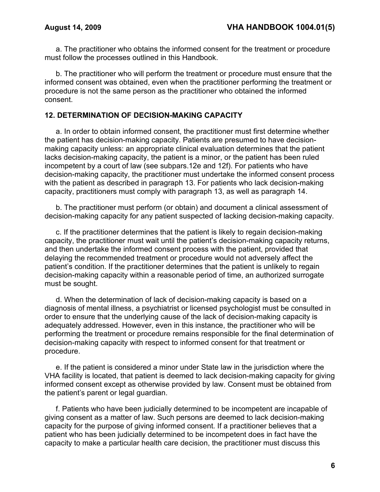a. The practitioner who obtains the informed consent for the treatment or procedure must follow the processes outlined in this Handbook.

b. The practitioner who will perform the treatment or procedure must ensure that the informed consent was obtained, even when the practitioner performing the treatment or procedure is not the same person as the practitioner who obtained the informed consent.

#### **12. DETERMINATION OF DECISION-MAKING CAPACITY**

a. In order to obtain informed consent, the practitioner must first determine whether the patient has decision-making capacity. Patients are presumed to have decisionmaking capacity unless: an appropriate clinical evaluation determines that the patient lacks decision-making capacity, the patient is a minor, or the patient has been ruled incompetent by a court of law (see subpars.12e and 12f). For patients who have decision-making capacity, the practitioner must undertake the informed consent process with the patient as described in paragraph 13. For patients who lack decision-making capacity, practitioners must comply with paragraph 13, as well as paragraph 14.

b. The practitioner must perform (or obtain) and document a clinical assessment of decision-making capacity for any patient suspected of lacking decision-making capacity.

c. If the practitioner determines that the patient is likely to regain decision-making capacity, the practitioner must wait until the patient's decision-making capacity returns, and then undertake the informed consent process with the patient, provided that delaying the recommended treatment or procedure would not adversely affect the patient's condition. If the practitioner determines that the patient is unlikely to regain decision-making capacity within a reasonable period of time, an authorized surrogate must be sought.

d. When the determination of lack of decision-making capacity is based on a diagnosis of mental illness, a psychiatrist or licensed psychologist must be consulted in order to ensure that the underlying cause of the lack of decision-making capacity is adequately addressed. However, even in this instance, the practitioner who will be performing the treatment or procedure remains responsible for the final determination of decision-making capacity with respect to informed consent for that treatment or procedure.

e. If the patient is considered a minor under State law in the jurisdiction where the VHA facility is located, that patient is deemed to lack decision-making capacity for giving informed consent except as otherwise provided by law. Consent must be obtained from the patient's parent or legal guardian.

f. Patients who have been judicially determined to be incompetent are incapable of giving consent as a matter of law. Such persons are deemed to lack decision-making capacity for the purpose of giving informed consent. If a practitioner believes that a patient who has been judicially determined to be incompetent does in fact have the capacity to make a particular health care decision, the practitioner must discuss this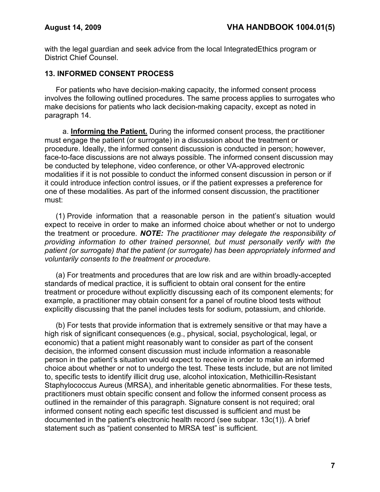with the legal guardian and seek advice from the local IntegratedEthics program or District Chief Counsel.

### **13. INFORMED CONSENT PROCESS**

For patients who have decision-making capacity, the informed consent process involves the following outlined procedures. The same process applies to surrogates who make decisions for patients who lack decision-making capacity, except as noted in paragraph 14.

a. **Informing the Patient.** During the informed consent process, the practitioner must engage the patient (or surrogate) in a discussion about the treatment or procedure. Ideally, the informed consent discussion is conducted in person; however, face-to-face discussions are not always possible. The informed consent discussion may be conducted by telephone, video conference, or other VA-approved electronic modalities if it is not possible to conduct the informed consent discussion in person or if it could introduce infection control issues, or if the patient expresses a preference for one of these modalities. As part of the informed consent discussion, the practitioner must:

(1) Provide information that a reasonable person in the patient's situation would expect to receive in order to make an informed choice about whether or not to undergo the treatment or procedure. *NOTE: The practitioner may delegate the responsibility of providing information to other trained personnel, but must personally verify with the patient (or surrogate) that the patient (or surrogate) has been appropriately informed and voluntarily consents to the treatment or procedure.*

(a) For treatments and procedures that are low risk and are within broadly-accepted standards of medical practice, it is sufficient to obtain oral consent for the entire treatment or procedure without explicitly discussing each of its component elements; for example, a practitioner may obtain consent for a panel of routine blood tests without explicitly discussing that the panel includes tests for sodium, potassium, and chloride.

(b) For tests that provide information that is extremely sensitive or that may have a high risk of significant consequences (e.g., physical, social, psychological, legal, or economic) that a patient might reasonably want to consider as part of the consent decision, the informed consent discussion must include information a reasonable person in the patient's situation would expect to receive in order to make an informed choice about whether or not to undergo the test. These tests include, but are not limited to, specific tests to identify illicit drug use, alcohol intoxication, Methicillin-Resistant Staphylococcus Aureus (MRSA), and inheritable genetic abnormalities. For these tests, practitioners must obtain specific consent and follow the informed consent process as outlined in the remainder of this paragraph. Signature consent is not required; oral informed consent noting each specific test discussed is sufficient and must be documented in the patient's electronic health record (see subpar. 13c(1)). A brief statement such as "patient consented to MRSA test" is sufficient.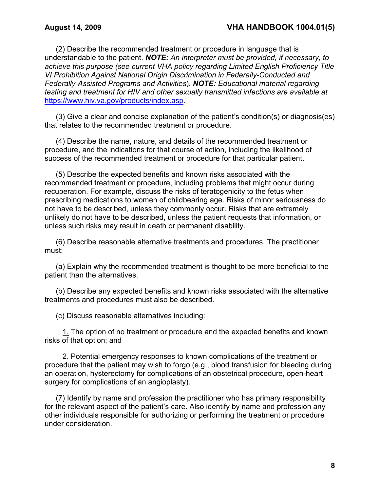(2) Describe the recommended treatment or procedure in language that is understandable to the patient. *NOTE: An interpreter must be provided, if necessary, to achieve this purpose (see current VHA policy regarding Limited English Proficiency Title VI Prohibition Against National Origin Discrimination in Federally-Conducted and Federally-Assisted Programs and Activities*). *NOTE: Educational material regarding testing and treatment for HIV and other sexually transmitted infections are available at*  <https://www.hiv.va.gov/products/index.asp>*.*

(3) Give a clear and concise explanation of the patient's condition(s) or diagnosis(es) that relates to the recommended treatment or procedure.

(4) Describe the name, nature, and details of the recommended treatment or procedure, and the indications for that course of action, including the likelihood of success of the recommended treatment or procedure for that particular patient.

(5) Describe the expected benefits and known risks associated with the recommended treatment or procedure, including problems that might occur during recuperation. For example, discuss the risks of teratogenicity to the fetus when prescribing medications to women of childbearing age. Risks of minor seriousness do not have to be described, unless they commonly occur. Risks that are extremely unlikely do not have to be described, unless the patient requests that information, or unless such risks may result in death or permanent disability.

(6) Describe reasonable alternative treatments and procedures. The practitioner must:

(a) Explain why the recommended treatment is thought to be more beneficial to the patient than the alternatives.

(b) Describe any expected benefits and known risks associated with the alternative treatments and procedures must also be described.

(c) Discuss reasonable alternatives including:

1. The option of no treatment or procedure and the expected benefits and known risks of that option; and

2. Potential emergency responses to known complications of the treatment or procedure that the patient may wish to forgo (e.g., blood transfusion for bleeding during an operation, hysterectomy for complications of an obstetrical procedure, open-heart surgery for complications of an angioplasty).

(7) Identify by name and profession the practitioner who has primary responsibility for the relevant aspect of the patient's care. Also identify by name and profession any other individuals responsible for authorizing or performing the treatment or procedure under consideration.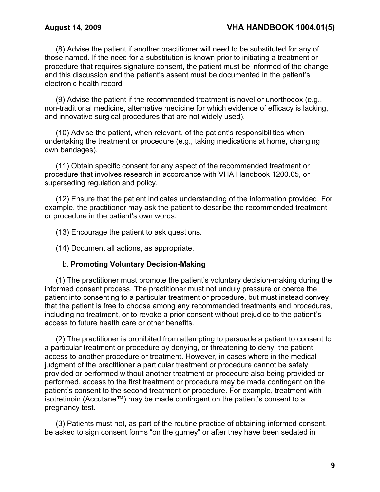(8) Advise the patient if another practitioner will need to be substituted for any of those named. If the need for a substitution is known prior to initiating a treatment or procedure that requires signature consent, the patient must be informed of the change and this discussion and the patient's assent must be documented in the patient's electronic health record.

(9) Advise the patient if the recommended treatment is novel or unorthodox (e.g., non-traditional medicine, alternative medicine for which evidence of efficacy is lacking, and innovative surgical procedures that are not widely used).

(10) Advise the patient, when relevant, of the patient's responsibilities when undertaking the treatment or procedure (e.g., taking medications at home, changing own bandages).

(11) Obtain specific consent for any aspect of the recommended treatment or procedure that involves research in accordance with VHA Handbook 1200.05, or superseding regulation and policy.

(12) Ensure that the patient indicates understanding of the information provided. For example, the practitioner may ask the patient to describe the recommended treatment or procedure in the patient's own words.

(13) Encourage the patient to ask questions.

(14) Document all actions, as appropriate.

#### b. **Promoting Voluntary Decision-Making**

(1) The practitioner must promote the patient's voluntary decision-making during the informed consent process. The practitioner must not unduly pressure or coerce the patient into consenting to a particular treatment or procedure, but must instead convey that the patient is free to choose among any recommended treatments and procedures, including no treatment, or to revoke a prior consent without prejudice to the patient's access to future health care or other benefits.

(2) The practitioner is prohibited from attempting to persuade a patient to consent to a particular treatment or procedure by denying, or threatening to deny, the patient access to another procedure or treatment. However, in cases where in the medical judgment of the practitioner a particular treatment or procedure cannot be safely provided or performed without another treatment or procedure also being provided or performed, access to the first treatment or procedure may be made contingent on the patient's consent to the second treatment or procedure. For example, treatment with isotretinoin (Accutane™) may be made contingent on the patient's consent to a pregnancy test.

(3) Patients must not, as part of the routine practice of obtaining informed consent, be asked to sign consent forms "on the gurney" or after they have been sedated in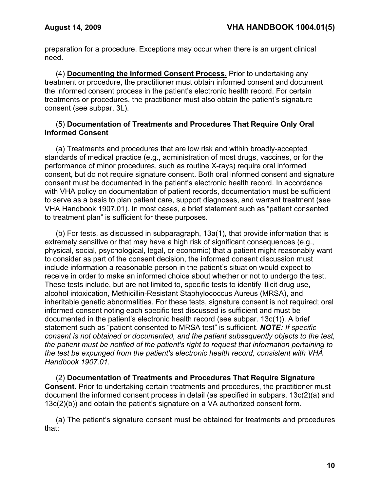preparation for a procedure. Exceptions may occur when there is an urgent clinical need.

(4) **Documenting the Informed Consent Process.** Prior to undertaking any treatment or procedure, the practitioner must obtain informed consent and document the informed consent process in the patient's electronic health record. For certain treatments or procedures, the practitioner must also obtain the patient's signature consent (see subpar. 3L).

### (5) **Documentation of Treatments and Procedures That Require Only Oral Informed Consent**

(a) Treatments and procedures that are low risk and within broadly-accepted standards of medical practice (e.g., administration of most drugs, vaccines, or for the performance of minor procedures, such as routine X-rays) require oral informed consent, but do not require signature consent. Both oral informed consent and signature consent must be documented in the patient's electronic health record. In accordance with VHA policy on documentation of patient records, documentation must be sufficient to serve as a basis to plan patient care, support diagnoses, and warrant treatment (see VHA Handbook 1907.01). In most cases, a brief statement such as "patient consented to treatment plan" is sufficient for these purposes.

(b) For tests, as discussed in subparagraph, 13a(1), that provide information that is extremely sensitive or that may have a high risk of significant consequences (e.g., physical, social, psychological, legal, or economic) that a patient might reasonably want to consider as part of the consent decision, the informed consent discussion must include information a reasonable person in the patient's situation would expect to receive in order to make an informed choice about whether or not to undergo the test. These tests include, but are not limited to, specific tests to identify illicit drug use, alcohol intoxication, Methicillin-Resistant Staphylococcus Aureus (MRSA), and inheritable genetic abnormalities. For these tests, signature consent is not required; oral informed consent noting each specific test discussed is sufficient and must be documented in the patient's electronic health record (see subpar. 13c(1)). A brief statement such as "patient consented to MRSA test" is sufficient. *NOTE: If specific consent is not obtained or documented, and the patient subsequently objects to the test, the patient must be notified of the patient's right to request that information pertaining to the test be expunged from the patient's electronic health record, consistent with VHA Handbook 1907.01.*

(2) **Documentation of Treatments and Procedures That Require Signature Consent.** Prior to undertaking certain treatments and procedures, the practitioner must document the informed consent process in detail (as specified in subpars. 13c(2)(a) and 13c(2)(b)) and obtain the patient's signature on a VA authorized consent form.

(a) The patient's signature consent must be obtained for treatments and procedures that: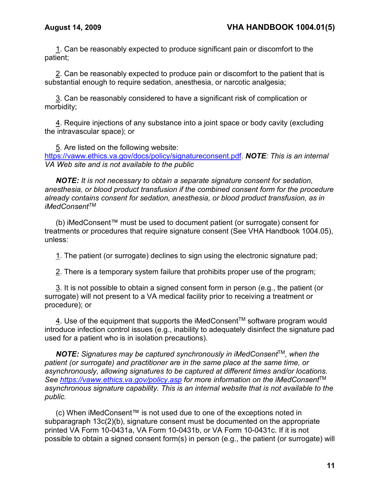1. Can be reasonably expected to produce significant pain or discomfort to the patient;

2. Can be reasonably expected to produce pain or discomfort to the patient that is substantial enough to require sedation, anesthesia, or narcotic analgesia;

3. Can be reasonably considered to have a significant risk of complication or morbidity;

4. Require injections of any substance into a joint space or body cavity (excluding the intravascular space); or

5. Are listed on the following website: [https://vaww.ethics.va.gov/docs/policy/signatureconsent.pdf.](https://vaww.ethics.va.gov/docs/policy/signatureconsent.pdf) *NOTE: This is an internal VA Web site and is not available to the public*

*NOTE: It is not necessary to obtain a separate signature consent for sedation, anesthesia, or blood product transfusion if the combined consent form for the procedure already contains consent for sedation, anesthesia, or blood product transfusion, as in iMedConsentTM*

(b) iMedConsent™ must be used to document patient (or surrogate) consent for treatments or procedures that require signature consent (See VHA Handbook 1004.05), unless:

1. The patient (or surrogate) declines to sign using the electronic signature pad;

2. There is a temporary system failure that prohibits proper use of the program;

3. It is not possible to obtain a signed consent form in person (e.g., the patient (or surrogate) will not present to a VA medical facility prior to receiving a treatment or procedure); or

4. Use of the equipment that supports the iMedConsent<sup>TM</sup> software program would introduce infection control issues (e.g., inability to adequately disinfect the signature pad used for a patient who is in isolation precautions).

*NOTE: Signatures may be captured synchronously in iMedConsent*TM*, when the patient (or surrogate) and practitioner are in the same place at the same time, or asynchronously, allowing signatures to be captured at different times and/or locations. See<https://vaww.ethics.va.gov/policy.asp> for more information on the iMedConsent*TM *asynchronous signature capability. This is an internal website that is not available to the public.* 

(c) When iMedConsent™ is not used due to one of the exceptions noted in subparagraph 13c(2)(b), signature consent must be documented on the appropriate printed VA Form 10-0431a, VA Form 10-0431b, or VA Form 10-0431c. If it is not possible to obtain a signed consent form(s) in person (e.g., the patient (or surrogate) will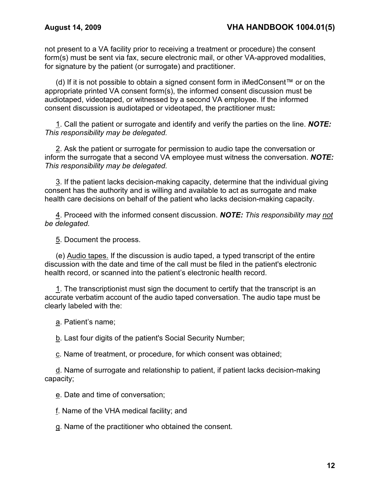not present to a VA facility prior to receiving a treatment or procedure) the consent form(s) must be sent via fax, secure electronic mail, or other VA-approved modalities, for signature by the patient (or surrogate) and practitioner.

(d) If it is not possible to obtain a signed consent form in iMedConsent™ or on the appropriate printed VA consent form(s), the informed consent discussion must be audiotaped, videotaped, or witnessed by a second VA employee. If the informed consent discussion is audiotaped or videotaped, the practitioner must**:**

1. Call the patient or surrogate and identify and verify the parties on the line. *NOTE: This responsibility may be delegated.* 

2. Ask the patient or surrogate for permission to audio tape the conversation or inform the surrogate that a second VA employee must witness the conversation. *NOTE: This responsibility may be delegated.* 

3. If the patient lacks decision-making capacity, determine that the individual giving consent has the authority and is willing and available to act as surrogate and make health care decisions on behalf of the patient who lacks decision-making capacity.

4. Proceed with the informed consent discussion. *NOTE: This responsibility may not be delegated.* 

5. Document the process.

(e) Audio tapes. If the discussion is audio taped, a typed transcript of the entire discussion with the date and time of the call must be filed in the patient's electronic health record, or scanned into the patient's electronic health record.

1. The transcriptionist must sign the document to certify that the transcript is an accurate verbatim account of the audio taped conversation. The audio tape must be clearly labeled with the:

a. Patient's name;

b. Last four digits of the patient's Social Security Number;

c. Name of treatment, or procedure, for which consent was obtained;

d. Name of surrogate and relationship to patient, if patient lacks decision-making capacity;

e. Date and time of conversation;

f. Name of the VHA medical facility; and

g. Name of the practitioner who obtained the consent.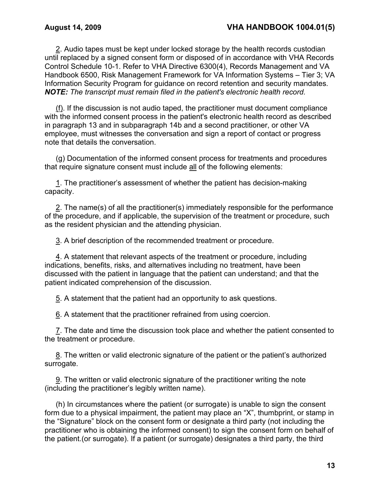2. Audio tapes must be kept under locked storage by the health records custodian until replaced by a signed consent form or disposed of in accordance with VHA Records Control Schedule 10-1. Refer to VHA Directive 6300(4), Records Management and VA Handbook 6500, Risk Management Framework for VA Information Systems – Tier 3; VA Information Security Program for guidance on record retention and security mandates. *NOTE: The transcript must remain filed in the patient's electronic health record.*

(f). If the discussion is not audio taped, the practitioner must document compliance with the informed consent process in the patient's electronic health record as described in paragraph 13 and in subparagraph 14b and a second practitioner, or other VA employee, must witnesses the conversation and sign a report of contact or progress note that details the conversation.

(g) Documentation of the informed consent process for treatments and procedures that require signature consent must include all of the following elements:

1. The practitioner's assessment of whether the patient has decision-making capacity.

2. The name(s) of all the practitioner(s) immediately responsible for the performance of the procedure, and if applicable, the supervision of the treatment or procedure, such as the resident physician and the attending physician.

3. A brief description of the recommended treatment or procedure.

4. A statement that relevant aspects of the treatment or procedure, including indications, benefits, risks, and alternatives including no treatment, have been discussed with the patient in language that the patient can understand; and that the patient indicated comprehension of the discussion.

5. A statement that the patient had an opportunity to ask questions.

6. A statement that the practitioner refrained from using coercion.

7. The date and time the discussion took place and whether the patient consented to the treatment or procedure.

8. The written or valid electronic signature of the patient or the patient's authorized surrogate.

9. The written or valid electronic signature of the practitioner writing the note (including the practitioner's legibly written name).

(h) In circumstances where the patient (or surrogate) is unable to sign the consent form due to a physical impairment, the patient may place an "X", thumbprint, or stamp in the "Signature" block on the consent form or designate a third party (not including the practitioner who is obtaining the informed consent) to sign the consent form on behalf of the patient.(or surrogate). If a patient (or surrogate) designates a third party, the third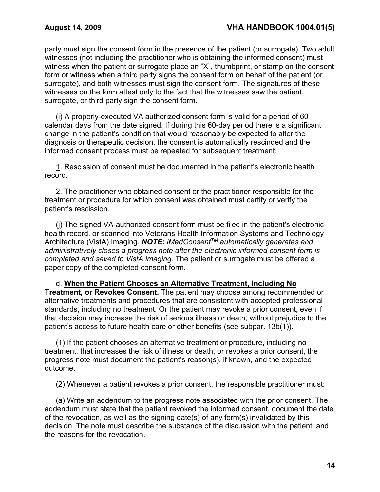party must sign the consent form in the presence of the patient (or surrogate). Two adult witnesses (not including the practitioner who is obtaining the informed consent) must witness when the patient or surrogate place an "X", thumbprint, or stamp on the consent form or witness when a third party signs the consent form on behalf of the patient (or surrogate), and both witnesses must sign the consent form. The signatures of these witnesses on the form attest only to the fact that the witnesses saw the patient, surrogate, or third party sign the consent form.

(i) A properly-executed VA authorized consent form is valid for a period of 60 calendar days from the date signed. If during this 60-day period there is a significant change in the patient's condition that would reasonably be expected to alter the diagnosis or therapeutic decision, the consent is automatically rescinded and the informed consent process must be repeated for subsequent treatment.

1. Rescission of consent must be documented in the patient's electronic health record.

2. The practitioner who obtained consent or the practitioner responsible for the treatment or procedure for which consent was obtained must certify or verify the patient's rescission.

(j) The signed VA-authorized consent form must be filed in the patient's electronic health record, or scanned into Veterans Health Information Systems and Technology Architecture (VistA) Imaging. *NOTE: iMedConsentTM automatically generates and administratively closes a progress note after the electronic informed consent form is completed and saved to VistA imaging.* The patient or surrogate must be offered a paper copy of the completed consent form.

d. **When the Patient Chooses an Alternative Treatment, Including No Treatment, or Revokes Consent.** The patient may choose among recommended or alternative treatments and procedures that are consistent with accepted professional standards, including no treatment. Or the patient may revoke a prior consent, even if that decision may increase the risk of serious illness or death, without prejudice to the patient's access to future health care or other benefits (see subpar. 13b(1)).

(1) If the patient chooses an alternative treatment or procedure, including no treatment, that increases the risk of illness or death, or revokes a prior consent, the progress note must document the patient's reason(s), if known, and the expected outcome.

(2) Whenever a patient revokes a prior consent, the responsible practitioner must:

(a) Write an addendum to the progress note associated with the prior consent. The addendum must state that the patient revoked the informed consent, document the date of the revocation, as well as the signing date(s) of any form(s) invalidated by this decision. The note must describe the substance of the discussion with the patient, and the reasons for the revocation.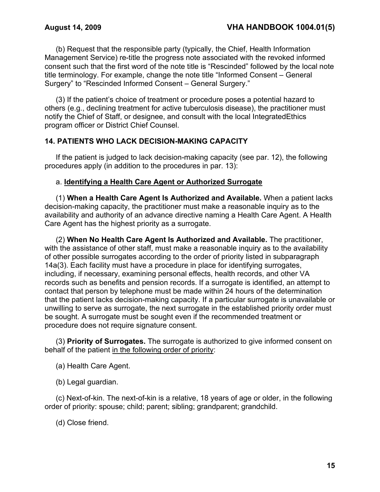(b) Request that the responsible party (typically, the Chief, Health Information Management Service) re-title the progress note associated with the revoked informed consent such that the first word of the note title is "Rescinded" followed by the local note title terminology. For example, change the note title "Informed Consent – General Surgery" to "Rescinded Informed Consent – General Surgery."

(3) If the patient's choice of treatment or procedure poses a potential hazard to others (e.g., declining treatment for active tuberculosis disease), the practitioner must notify the Chief of Staff, or designee, and consult with the local IntegratedEthics program officer or District Chief Counsel.

## **14. PATIENTS WHO LACK DECISION-MAKING CAPACITY**

If the patient is judged to lack decision-making capacity (see par. 12), the following procedures apply (in addition to the procedures in par. 13):

#### a. **Identifying a Health Care Agent or Authorized Surrogate**

(1) **When a Health Care Agent Is Authorized and Available.** When a patient lacks decision-making capacity, the practitioner must make a reasonable inquiry as to the availability and authority of an advance directive naming a Health Care Agent. A Health Care Agent has the highest priority as a surrogate.

(2) **When No Health Care Agent Is Authorized and Available.** The practitioner, with the assistance of other staff, must make a reasonable inquiry as to the availability of other possible surrogates according to the order of priority listed in subparagraph 14a(3). Each facility must have a procedure in place for identifying surrogates, including, if necessary, examining personal effects, health records, and other VA records such as benefits and pension records. If a surrogate is identified, an attempt to contact that person by telephone must be made within 24 hours of the determination that the patient lacks decision-making capacity. If a particular surrogate is unavailable or unwilling to serve as surrogate, the next surrogate in the established priority order must be sought. A surrogate must be sought even if the recommended treatment or procedure does not require signature consent.

(3) **Priority of Surrogates.** The surrogate is authorized to give informed consent on behalf of the patient in the following order of priority:

- (a) Health Care Agent.
- (b) Legal guardian.

(c) Next-of-kin. The next-of-kin is a relative, 18 years of age or older, in the following order of priority: spouse; child; parent; sibling; grandparent; grandchild.

(d) Close friend.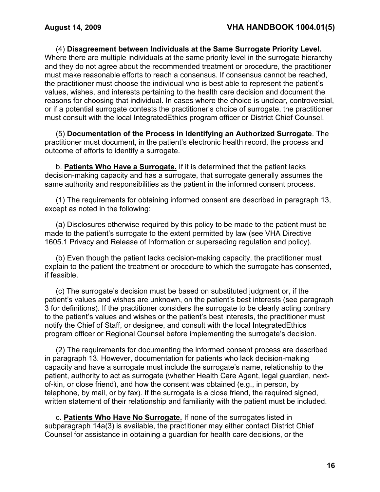(4) **Disagreement between Individuals at the Same Surrogate Priority Level.** Where there are multiple individuals at the same priority level in the surrogate hierarchy and they do not agree about the recommended treatment or procedure, the practitioner must make reasonable efforts to reach a consensus. If consensus cannot be reached, the practitioner must choose the individual who is best able to represent the patient's values, wishes, and interests pertaining to the health care decision and document the reasons for choosing that individual. In cases where the choice is unclear, controversial, or if a potential surrogate contests the practitioner's choice of surrogate, the practitioner must consult with the local IntegratedEthics program officer or District Chief Counsel.

(5) **Documentation of the Process in Identifying an Authorized Surrogate**. The practitioner must document, in the patient's electronic health record, the process and outcome of efforts to identify a surrogate.

b. **Patients Who Have a Surrogate.** If it is determined that the patient lacks decision-making capacity and has a surrogate, that surrogate generally assumes the same authority and responsibilities as the patient in the informed consent process.

(1) The requirements for obtaining informed consent are described in paragraph 13, except as noted in the following:

(a) Disclosures otherwise required by this policy to be made to the patient must be made to the patient's surrogate to the extent permitted by law (see VHA Directive 1605.1 Privacy and Release of Information or superseding regulation and policy).

(b) Even though the patient lacks decision-making capacity, the practitioner must explain to the patient the treatment or procedure to which the surrogate has consented, if feasible.

(c) The surrogate's decision must be based on substituted judgment or, if the patient's values and wishes are unknown, on the patient's best interests (see paragraph 3 for definitions). If the practitioner considers the surrogate to be clearly acting contrary to the patient's values and wishes or the patient's best interests, the practitioner must notify the Chief of Staff, or designee, and consult with the local IntegratedEthics program officer or Regional Counsel before implementing the surrogate's decision.

(2) The requirements for documenting the informed consent process are described in paragraph 13. However, documentation for patients who lack decision-making capacity and have a surrogate must include the surrogate's name, relationship to the patient, authority to act as surrogate (whether Health Care Agent, legal guardian, nextof-kin, or close friend), and how the consent was obtained (e.g., in person, by telephone, by mail, or by fax). If the surrogate is a close friend, the required signed, written statement of their relationship and familiarity with the patient must be included.

c. **Patients Who Have No Surrogate.** If none of the surrogates listed in subparagraph 14a(3) is available, the practitioner may either contact District Chief Counsel for assistance in obtaining a guardian for health care decisions, or the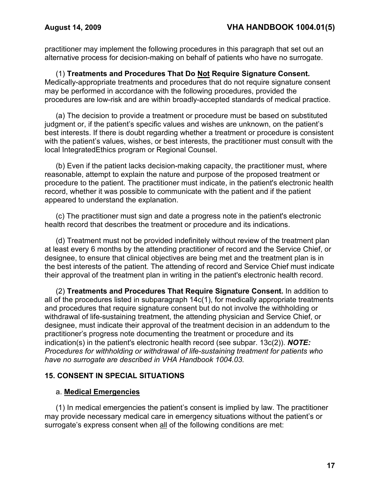practitioner may implement the following procedures in this paragraph that set out an alternative process for decision-making on behalf of patients who have no surrogate.

(1) **Treatments and Procedures That Do Not Require Signature Consent.** Medically-appropriate treatments and procedures that do not require signature consent may be performed in accordance with the following procedures, provided the procedures are low-risk and are within broadly-accepted standards of medical practice.

(a) The decision to provide a treatment or procedure must be based on substituted judgment or, if the patient's specific values and wishes are unknown, on the patient's best interests. If there is doubt regarding whether a treatment or procedure is consistent with the patient's values, wishes, or best interests, the practitioner must consult with the local IntegratedEthics program or Regional Counsel.

(b) Even if the patient lacks decision-making capacity, the practitioner must, where reasonable, attempt to explain the nature and purpose of the proposed treatment or procedure to the patient. The practitioner must indicate, in the patient's electronic health record, whether it was possible to communicate with the patient and if the patient appeared to understand the explanation.

(c) The practitioner must sign and date a progress note in the patient's electronic health record that describes the treatment or procedure and its indications.

(d) Treatment must not be provided indefinitely without review of the treatment plan at least every 6 months by the attending practitioner of record and the Service Chief, or designee, to ensure that clinical objectives are being met and the treatment plan is in the best interests of the patient. The attending of record and Service Chief must indicate their approval of the treatment plan in writing in the patient's electronic health record.

(2) **Treatments and Procedures That Require Signature Consent.** In addition to all of the procedures listed in subparagraph 14c(1), for medically appropriate treatments and procedures that require signature consent but do not involve the withholding or withdrawal of life-sustaining treatment, the attending physician and Service Chief, or designee, must indicate their approval of the treatment decision in an addendum to the practitioner's progress note documenting the treatment or procedure and its indication(s) in the patient's electronic health record (see subpar. 13c(2)). *NOTE: Procedures for withholding or withdrawal of life-sustaining treatment for patients who have no surrogate are described in VHA Handbook 1004.03.* 

## **15. CONSENT IN SPECIAL SITUATIONS**

#### a. **Medical Emergencies**

(1) In medical emergencies the patient's consent is implied by law. The practitioner may provide necessary medical care in emergency situations without the patient's or surrogate's express consent when all of the following conditions are met: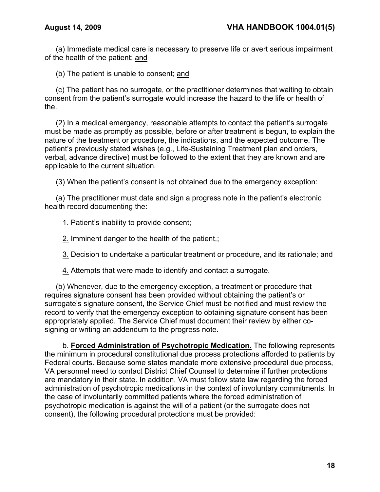(a) Immediate medical care is necessary to preserve life or avert serious impairment of the health of the patient; and

(b) The patient is unable to consent; and

(c) The patient has no surrogate, or the practitioner determines that waiting to obtain consent from the patient's surrogate would increase the hazard to the life or health of the.

(2) In a medical emergency, reasonable attempts to contact the patient's surrogate must be made as promptly as possible, before or after treatment is begun, to explain the nature of the treatment or procedure, the indications, and the expected outcome. The patient's previously stated wishes (e.g., Life-Sustaining Treatment plan and orders, verbal, advance directive) must be followed to the extent that they are known and are applicable to the current situation.

(3) When the patient's consent is not obtained due to the emergency exception:

(a) The practitioner must date and sign a progress note in the patient's electronic health record documenting the:

1. Patient's inability to provide consent;

2. Imminent danger to the health of the patient,;

3. Decision to undertake a particular treatment or procedure, and its rationale; and

4. Attempts that were made to identify and contact a surrogate.

(b) Whenever, due to the emergency exception, a treatment or procedure that requires signature consent has been provided without obtaining the patient's or surrogate's signature consent, the Service Chief must be notified and must review the record to verify that the emergency exception to obtaining signature consent has been appropriately applied. The Service Chief must document their review by either cosigning or writing an addendum to the progress note.

b. **Forced Administration of Psychotropic Medication.** The following represents the minimum in procedural constitutional due process protections afforded to patients by Federal courts. Because some states mandate more extensive procedural due process, VA personnel need to contact District Chief Counsel to determine if further protections are mandatory in their state. In addition, VA must follow state law regarding the forced administration of psychotropic medications in the context of involuntary commitments*.* In the case of involuntarily committed patients where the forced administration of psychotropic medication is against the will of a patient (or the surrogate does not consent), the following procedural protections must be provided: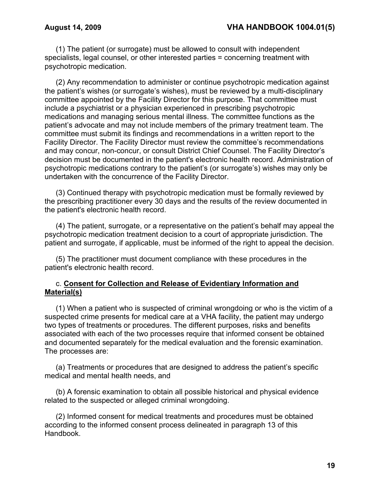(1) The patient (or surrogate) must be allowed to consult with independent specialists, legal counsel, or other interested parties = concerning treatment with psychotropic medication.

(2) Any recommendation to administer or continue psychotropic medication against the patient's wishes (or surrogate's wishes), must be reviewed by a multi-disciplinary committee appointed by the Facility Director for this purpose. That committee must include a psychiatrist or a physician experienced in prescribing psychotropic medications and managing serious mental illness. The committee functions as the patient's advocate and may not include members of the primary treatment team. The committee must submit its findings and recommendations in a written report to the Facility Director. The Facility Director must review the committee's recommendations and may concur, non-concur, or consult District Chief Counsel. The Facility Director's decision must be documented in the patient's electronic health record. Administration of psychotropic medications contrary to the patient's (or surrogate's) wishes may only be undertaken with the concurrence of the Facility Director.

(3) Continued therapy with psychotropic medication must be formally reviewed by the prescribing practitioner every 30 days and the results of the review documented in the patient's electronic health record.

(4) The patient, surrogate, or a representative on the patient's behalf may appeal the psychotropic medication treatment decision to a court of appropriate jurisdiction. The patient and surrogate, if applicable, must be informed of the right to appeal the decision.

(5) The practitioner must document compliance with these procedures in the patient's electronic health record.

#### c. **Consent for Collection and Release of Evidentiary Information and Material(s)**

(1) When a patient who is suspected of criminal wrongdoing or who is the victim of a suspected crime presents for medical care at a VHA facility, the patient may undergo two types of treatments or procedures. The different purposes, risks and benefits associated with each of the two processes require that informed consent be obtained and documented separately for the medical evaluation and the forensic examination. The processes are:

(a) Treatments or procedures that are designed to address the patient's specific medical and mental health needs, and

(b) A forensic examination to obtain all possible historical and physical evidence related to the suspected or alleged criminal wrongdoing.

(2) Informed consent for medical treatments and procedures must be obtained according to the informed consent process delineated in paragraph 13 of this Handbook.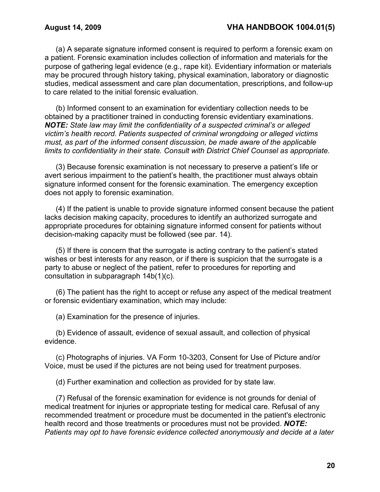(a) A separate signature informed consent is required to perform a forensic exam on a patient. Forensic examination includes collection of information and materials for the purpose of gathering legal evidence (e.g., rape kit). Evidentiary information or materials may be procured through history taking, physical examination, laboratory or diagnostic studies, medical assessment and care plan documentation, prescriptions, and follow-up to care related to the initial forensic evaluation.

(b) Informed consent to an examination for evidentiary collection needs to be obtained by a practitioner trained in conducting forensic evidentiary examinations. *NOTE: State law may limit the confidentiality of a suspected criminal's or alleged victim's health record. Patients suspected of criminal wrongdoing or alleged victims must, as part of the informed consent discussion, be made aware of the applicable limits to confidentiality in their state. Consult with District Chief Counsel as appropriate.*

(3) Because forensic examination is not necessary to preserve a patient's life or avert serious impairment to the patient's health, the practitioner must always obtain signature informed consent for the forensic examination. The emergency exception does not apply to forensic examination.

(4) If the patient is unable to provide signature informed consent because the patient lacks decision making capacity, procedures to identify an authorized surrogate and appropriate procedures for obtaining signature informed consent for patients without decision-making capacity must be followed (see par. 14).

(5) If there is concern that the surrogate is acting contrary to the patient's stated wishes or best interests for any reason, or if there is suspicion that the surrogate is a party to abuse or neglect of the patient, refer to procedures for reporting and consultation in subparagraph 14b(1)(c).

(6) The patient has the right to accept or refuse any aspect of the medical treatment or forensic evidentiary examination, which may include:

(a) Examination for the presence of injuries.

(b) Evidence of assault, evidence of sexual assault, and collection of physical evidence.

(c) Photographs of injuries. VA Form 10-3203, Consent for Use of Picture and/or Voice, must be used if the pictures are not being used for treatment purposes.

(d) Further examination and collection as provided for by state law.

(7) Refusal of the forensic examination for evidence is not grounds for denial of medical treatment for injuries or appropriate testing for medical care. Refusal of any recommended treatment or procedure must be documented in the patient's electronic health record and those treatments or procedures must not be provided. *NOTE: Patients may opt to have forensic evidence collected anonymously and decide at a later*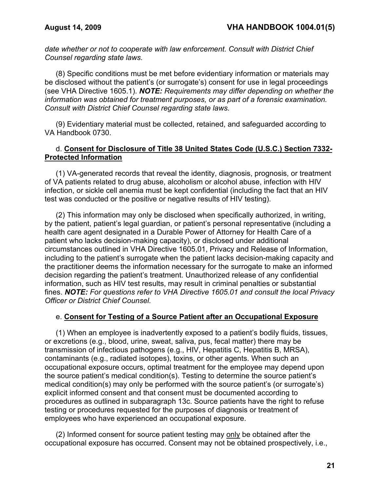*date whether or not to cooperate with law enforcement. Consult with District Chief Counsel regarding state laws.*

(8) Specific conditions must be met before evidentiary information or materials may be disclosed without the patient's (or surrogate's) consent for use in legal proceedings (see VHA Directive 1605.1). *NOTE: Requirements may differ depending on whether the information was obtained for treatment purposes, or as part of a forensic examination. Consult with District Chief Counsel regarding state laws.*

(9) Evidentiary material must be collected, retained, and safeguarded according to VA Handbook 0730.

### d. **Consent for Disclosure of Title 38 United States Code (U.S.C.) Section 7332- Protected Information**

(1) VA-generated records that reveal the identity, diagnosis, prognosis, or treatment of VA patients related to drug abuse, alcoholism or alcohol abuse, infection with HIV infection, or sickle cell anemia must be kept confidential (including the fact that an HIV test was conducted or the positive or negative results of HIV testing).

(2) This information may only be disclosed when specifically authorized, in writing, by the patient, patient's legal guardian, or patient's personal representative (including a health care agent designated in a Durable Power of Attorney for Health Care of a patient who lacks decision-making capacity), or disclosed under additional circumstances outlined in VHA Directive 1605.01, Privacy and Release of Information, including to the patient's surrogate when the patient lacks decision-making capacity and the practitioner deems the information necessary for the surrogate to make an informed decision regarding the patient's treatment. Unauthorized release of any confidential information, such as HIV test results, may result in criminal penalties or substantial fines. *NOTE: For questions refer to VHA Directive 1605.01 and consult the local Privacy Officer or District Chief Counsel.*

#### e. **Consent for Testing of a Source Patient after an Occupational Exposure**

(1) When an employee is inadvertently exposed to a patient's bodily fluids, tissues, or excretions (e.g., blood, urine, sweat, saliva, pus, fecal matter) there may be transmission of infectious pathogens (e.g., HIV, Hepatitis C, Hepatitis B, MRSA), contaminants (e.g., radiated isotopes), toxins, or other agents. When such an occupational exposure occurs, optimal treatment for the employee may depend upon the source patient's medical condition(s). Testing to determine the source patient's medical condition(s) may only be performed with the source patient's (or surrogate's) explicit informed consent and that consent must be documented according to procedures as outlined in subparagraph 13c. Source patients have the right to refuse testing or procedures requested for the purposes of diagnosis or treatment of employees who have experienced an occupational exposure.

(2) Informed consent for source patient testing may only be obtained after the occupational exposure has occurred. Consent may not be obtained prospectively, i.e.,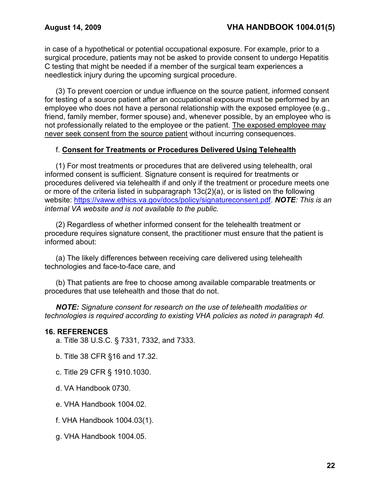in case of a hypothetical or potential occupational exposure. For example, prior to a surgical procedure, patients may not be asked to provide consent to undergo Hepatitis C testing that might be needed if a member of the surgical team experiences a needlestick injury during the upcoming surgical procedure.

(3) To prevent coercion or undue influence on the source patient, informed consent for testing of a source patient after an occupational exposure must be performed by an employee who does not have a personal relationship with the exposed employee (e.g., friend, family member, former spouse) and, whenever possible, by an employee who is not professionally related to the employee or the patient. The exposed employee may never seek consent from the source patient without incurring consequences.

## f. **Consent for Treatments or Procedures Delivered Using Telehealth**

(1) For most treatments or procedures that are delivered using telehealth, oral informed consent is sufficient. Signature consent is required for treatments or procedures delivered via telehealth if and only if the treatment or procedure meets one or more of the criteria listed in subparagraph 13c(2)(a), or is listed on the following website: [https://vaww.ethics.va.gov/docs/policy/signatureconsent.pdf.](https://vaww.ethics.va.gov/docs/policy/signatureconsent.pdf) *NOTE: This is an internal VA website and is not available to the public.*

(2) Regardless of whether informed consent for the telehealth treatment or procedure requires signature consent, the practitioner must ensure that the patient is informed about:

(a) The likely differences between receiving care delivered using telehealth technologies and face-to-face care, and

(b) That patients are free to choose among available comparable treatments or procedures that use telehealth and those that do not.

*NOTE: Signature consent for research on the use of telehealth modalities or technologies is required according to existing VHA policies as noted in paragraph 4d.*

#### **16. REFERENCES**

a. Title 38 U.S.C. § 7331, 7332, and 7333.

b. Title 38 CFR §16 and 17.32.

- c. Title 29 CFR § 1910.1030.
- d. VA Handbook 0730.
- e. VHA Handbook 1004.02.
- f. VHA Handbook 1004.03(1).
- g. VHA Handbook 1004.05.